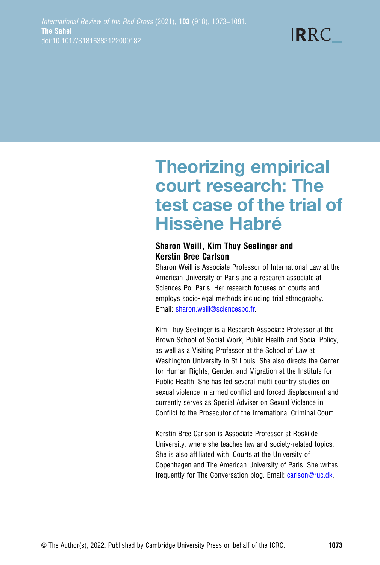$IRRC$ 

# Theorizing empirical court research: The test case of the trial of Hissène Habré

#### Sharon Weill, Kim Thuy Seelinger and Kerstin Bree Carlson

Sharon Weill is Associate Professor of International Law at the American University of Paris and a research associate at Sciences Po, Paris. Her research focuses on courts and employs socio-legal methods including trial ethnography. Email: [sharon.weill@sciencespo.fr.](mailto:sharon.weill@sciencespo.fr)

Kim Thuy Seelinger is a Research Associate Professor at the Brown School of Social Work, Public Health and Social Policy, as well as a Visiting Professor at the School of Law at Washington University in St Louis. She also directs the Center for Human Rights, Gender, and Migration at the Institute for Public Health. She has led several multi-country studies on sexual violence in armed conflict and forced displacement and currently serves as Special Adviser on Sexual Violence in Conflict to the Prosecutor of the International Criminal Court.

Kerstin Bree Carlson is Associate Professor at Roskilde University, where she teaches law and society-related topics. She is also affiliated with iCourts at the University of Copenhagen and The American University of Paris. She writes frequently for The Conversation blog. Email: [carlson@ruc.dk](mailto:carlson@ruc.dk).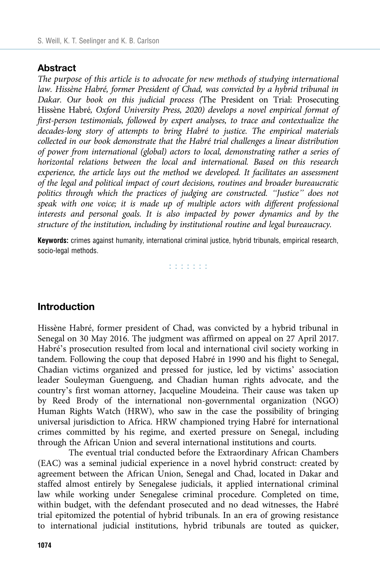#### Abstract

The purpose of this article is to advocate for new methods of studying international law. Hissène Habré, former President of Chad, was convicted by a hybrid tribunal in Dakar. Our book on this judicial process (The President on Trial: Prosecuting Hissène Habré, Oxford University Press, 2020) develops a novel empirical format of first-person testimonials, followed by expert analyses, to trace and contextualize the decades-long story of attempts to bring Habré to justice. The empirical materials collected in our book demonstrate that the Habré trial challenges a linear distribution of power from international (global) actors to local, demonstrating rather a series of horizontal relations between the local and international. Based on this research experience, the article lays out the method we developed. It facilitates an assessment of the legal and political impact of court decisions, routines and broader bureaucratic politics through which the practices of judging are constructed. "Justice" does not speak with one voice; it is made up of multiple actors with different professional interests and personal goals. It is also impacted by power dynamics and by the structure of the institution, including by institutional routine and legal bureaucracy.

Keywords: crimes against humanity, international criminal justice, hybrid tribunals, empirical research, socio-legal methods.

n na na na

## Introduction

Hissène Habré, former president of Chad, was convicted by a hybrid tribunal in Senegal on 30 May 2016. The judgment was affirmed on appeal on 27 April 2017. Habré's prosecution resulted from local and international civil society working in tandem. Following the coup that deposed Habré in 1990 and his flight to Senegal, Chadian victims organized and pressed for justice, led by victims' association leader Souleyman Guengueng, and Chadian human rights advocate, and the country's first woman attorney, Jacqueline Moudeina. Their cause was taken up by Reed Brody of the international non-governmental organization (NGO) Human Rights Watch (HRW), who saw in the case the possibility of bringing universal jurisdiction to Africa. HRW championed trying Habré for international crimes committed by his regime, and exerted pressure on Senegal, including through the African Union and several international institutions and courts.

The eventual trial conducted before the Extraordinary African Chambers (EAC) was a seminal judicial experience in a novel hybrid construct: created by agreement between the African Union, Senegal and Chad, located in Dakar and staffed almost entirely by Senegalese judicials, it applied international criminal law while working under Senegalese criminal procedure. Completed on time, within budget, with the defendant prosecuted and no dead witnesses, the Habré trial epitomized the potential of hybrid tribunals. In an era of growing resistance to international judicial institutions, hybrid tribunals are touted as quicker,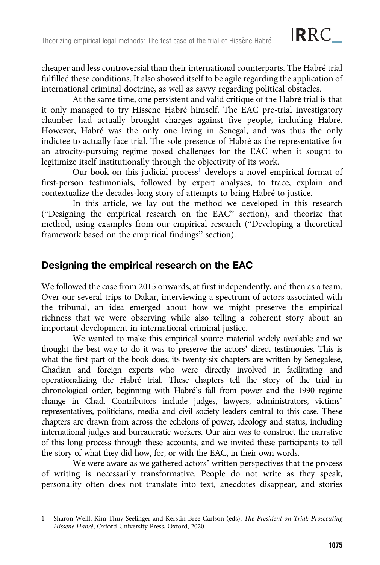cheaper and less controversial than their international counterparts. The Habré trial fulfilled these conditions. It also showed itself to be agile regarding the application of international criminal doctrine, as well as savvy regarding political obstacles.

At the same time, one persistent and valid critique of the Habré trial is that it only managed to try Hissène Habré himself. The EAC pre-trial investigatory chamber had actually brought charges against five people, including Habré. However, Habré was the only one living in Senegal, and was thus the only indictee to actually face trial. The sole presence of Habré as the representative for an atrocity-pursuing regime posed challenges for the EAC when it sought to legitimize itself institutionally through the objectivity of its work.

Our book on this judicial process<sup>1</sup> develops a novel empirical format of first-person testimonials, followed by expert analyses, to trace, explain and contextualize the decades-long story of attempts to bring Habré to justice.

In this article, we lay out the method we developed in this research ("Designing the empirical research on the EAC" section), and theorize that method, using examples from our empirical research ("Developing a theoretical framework based on the empirical findings" section).

# Designing the empirical research on the EAC

We followed the case from 2015 onwards, at first independently, and then as a team. Over our several trips to Dakar, interviewing a spectrum of actors associated with the tribunal, an idea emerged about how we might preserve the empirical richness that we were observing while also telling a coherent story about an important development in international criminal justice.

We wanted to make this empirical source material widely available and we thought the best way to do it was to preserve the actors' direct testimonies. This is what the first part of the book does; its twenty-six chapters are written by Senegalese, Chadian and foreign experts who were directly involved in facilitating and operationalizing the Habré trial. These chapters tell the story of the trial in chronological order, beginning with Habré's fall from power and the 1990 regime change in Chad. Contributors include judges, lawyers, administrators, victims' representatives, politicians, media and civil society leaders central to this case. These chapters are drawn from across the echelons of power, ideology and status, including international judges and bureaucratic workers. Our aim was to construct the narrative of this long process through these accounts, and we invited these participants to tell the story of what they did how, for, or with the EAC, in their own words.

We were aware as we gathered actors' written perspectives that the process of writing is necessarily transformative. People do not write as they speak, personality often does not translate into text, anecdotes disappear, and stories

<sup>1</sup> Sharon Weill, Kim Thuy Seelinger and Kerstin Bree Carlson (eds), The President on Trial: Prosecuting Hissène Habré, Oxford University Press, Oxford, 2020.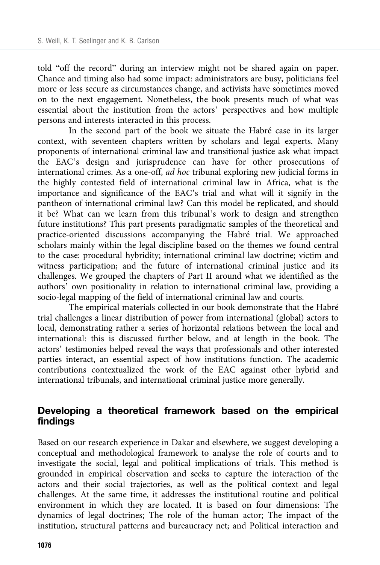told "off the record" during an interview might not be shared again on paper. Chance and timing also had some impact: administrators are busy, politicians feel more or less secure as circumstances change, and activists have sometimes moved on to the next engagement. Nonetheless, the book presents much of what was essential about the institution from the actors' perspectives and how multiple persons and interests interacted in this process.

In the second part of the book we situate the Habré case in its larger context, with seventeen chapters written by scholars and legal experts. Many proponents of international criminal law and transitional justice ask what impact the EAC's design and jurisprudence can have for other prosecutions of international crimes. As a one-off, ad hoc tribunal exploring new judicial forms in the highly contested field of international criminal law in Africa, what is the importance and significance of the EAC's trial and what will it signify in the pantheon of international criminal law? Can this model be replicated, and should it be? What can we learn from this tribunal's work to design and strengthen future institutions? This part presents paradigmatic samples of the theoretical and practice-oriented discussions accompanying the Habré trial. We approached scholars mainly within the legal discipline based on the themes we found central to the case: procedural hybridity; international criminal law doctrine; victim and witness participation; and the future of international criminal justice and its challenges. We grouped the chapters of Part II around what we identified as the authors' own positionality in relation to international criminal law, providing a socio-legal mapping of the field of international criminal law and courts.

The empirical materials collected in our book demonstrate that the Habré trial challenges a linear distribution of power from international (global) actors to local, demonstrating rather a series of horizontal relations between the local and international: this is discussed further below, and at length in the book. The actors' testimonies helped reveal the ways that professionals and other interested parties interact, an essential aspect of how institutions function. The academic contributions contextualized the work of the EAC against other hybrid and international tribunals, and international criminal justice more generally.

## Developing a theoretical framework based on the empirical findings

Based on our research experience in Dakar and elsewhere, we suggest developing a conceptual and methodological framework to analyse the role of courts and to investigate the social, legal and political implications of trials. This method is grounded in empirical observation and seeks to capture the interaction of the actors and their social trajectories, as well as the political context and legal challenges. At the same time, it addresses the institutional routine and political environment in which they are located. It is based on four dimensions: The dynamics of legal doctrines; The role of the human actor; The impact of the institution, structural patterns and bureaucracy net; and Political interaction and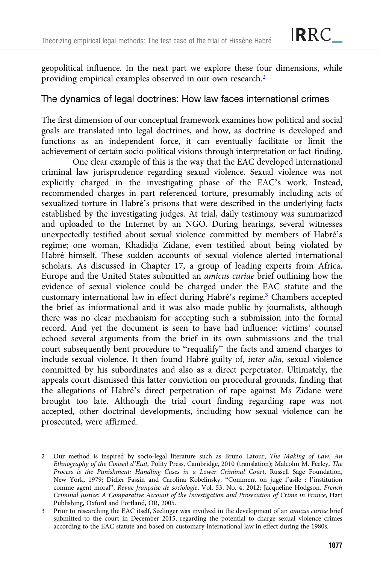geopolitical influence. In the next part we explore these four dimensions, while providing empirical examples observed in our own research.2

## The dynamics of legal doctrines: How law faces international crimes

The first dimension of our conceptual framework examines how political and social goals are translated into legal doctrines, and how, as doctrine is developed and functions as an independent force, it can eventually facilitate or limit the achievement of certain socio-political visions through interpretation or fact-finding.

One clear example of this is the way that the EAC developed international criminal law jurisprudence regarding sexual violence. Sexual violence was not explicitly charged in the investigating phase of the EAC's work. Instead, recommended charges in part referenced torture, presumably including acts of sexualized torture in Habré's prisons that were described in the underlying facts established by the investigating judges. At trial, daily testimony was summarized and uploaded to the Internet by an NGO. During hearings, several witnesses unexpectedly testified about sexual violence committed by members of Habré's regime; one woman, Khadidja Zidane, even testified about being violated by Habré himself. These sudden accounts of sexual violence alerted international scholars. As discussed in Chapter 17, a group of leading experts from Africa, Europe and the United States submitted an amicus curiae brief outlining how the evidence of sexual violence could be charged under the EAC statute and the customary international law in effect during Habré's regime.<sup>3</sup> Chambers accepted the brief as informational and it was also made public by journalists, although there was no clear mechanism for accepting such a submission into the formal record. And yet the document is seen to have had influence: victims' counsel echoed several arguments from the brief in its own submissions and the trial court subsequently bent procedure to "requalify" the facts and amend charges to include sexual violence. It then found Habré guilty of, inter alia, sexual violence committed by his subordinates and also as a direct perpetrator. Ultimately, the appeals court dismissed this latter conviction on procedural grounds, finding that the allegations of Habré's direct perpetration of rape against Ms Zidane were brought too late. Although the trial court finding regarding rape was not accepted, other doctrinal developments, including how sexual violence can be prosecuted, were affirmed.

<sup>2</sup> Our method is inspired by socio-legal literature such as Bruno Latour, The Making of Law. An Ethnography of the Conseil d'Etat, Polity Press, Cambridge, 2010 (translation); Malcolm M. Feeley, The Process is the Punishment: Handling Cases in a Lower Criminal Court, Russell Sage Foundation, New York, 1979; Didier Fassin and Carolina Kobelinsky, "Comment on juge l'asile : l'institution comme agent moral", Revue française de sociologie, Vol. 53, No. 4, 2012; Jacqueline Hodgson, French Criminal Justice: A Comparative Account of the Investigation and Prosecution of Crime in France, Hart Publishing, Oxford and Portland, OR, 2005.

<sup>3</sup> Prior to researching the EAC itself, Seelinger was involved in the development of an amicus curiae brief submitted to the court in December 2015, regarding the potential to charge sexual violence crimes according to the EAC statute and based on customary international law in effect during the 1980s.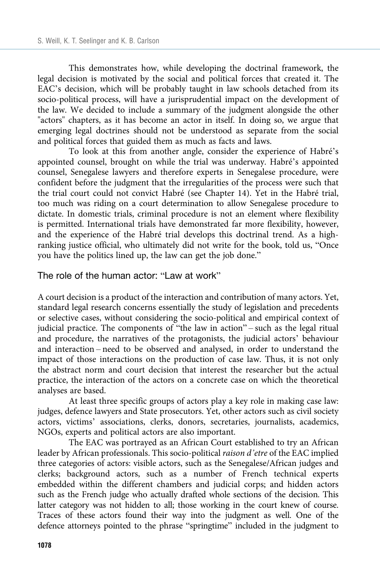This demonstrates how, while developing the doctrinal framework, the legal decision is motivated by the social and political forces that created it. The EAC's decision, which will be probably taught in law schools detached from its socio-political process, will have a jurisprudential impact on the development of the law. We decided to include a summary of the judgment alongside the other "actors" chapters, as it has become an actor in itself. In doing so, we argue that emerging legal doctrines should not be understood as separate from the social and political forces that guided them as much as facts and laws.

To look at this from another angle, consider the experience of Habré's appointed counsel, brought on while the trial was underway. Habré's appointed counsel, Senegalese lawyers and therefore experts in Senegalese procedure, were confident before the judgment that the irregularities of the process were such that the trial court could not convict Habré (see Chapter 14). Yet in the Habré trial, too much was riding on a court determination to allow Senegalese procedure to dictate. In domestic trials, criminal procedure is not an element where flexibility is permitted. International trials have demonstrated far more flexibility, however, and the experience of the Habré trial develops this doctrinal trend. As a highranking justice official, who ultimately did not write for the book, told us, "Once you have the politics lined up, the law can get the job done."

The role of the human actor: "Law at work"

A court decision is a product of the interaction and contribution of many actors. Yet, standard legal research concerns essentially the study of legislation and precedents or selective cases, without considering the socio-political and empirical context of judicial practice. The components of "the law in action" – such as the legal ritual and procedure, the narratives of the protagonists, the judicial actors' behaviour and interaction – need to be observed and analysed, in order to understand the impact of those interactions on the production of case law. Thus, it is not only the abstract norm and court decision that interest the researcher but the actual practice, the interaction of the actors on a concrete case on which the theoretical analyses are based.

At least three specific groups of actors play a key role in making case law: judges, defence lawyers and State prosecutors. Yet, other actors such as civil society actors, victims' associations, clerks, donors, secretaries, journalists, academics, NGOs, experts and political actors are also important.

The EAC was portrayed as an African Court established to try an African leader by African professionals. This socio-political raison d'etre of the EAC implied three categories of actors: visible actors, such as the Senegalese/African judges and clerks; background actors, such as a number of French technical experts embedded within the different chambers and judicial corps; and hidden actors such as the French judge who actually drafted whole sections of the decision. This latter category was not hidden to all; those working in the court knew of course. Traces of these actors found their way into the judgment as well. One of the defence attorneys pointed to the phrase "springtime" included in the judgment to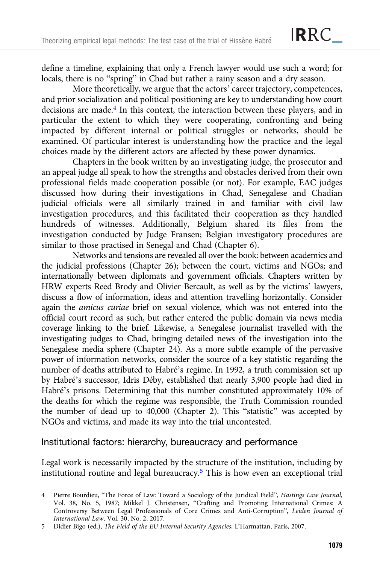define a timeline, explaining that only a French lawyer would use such a word; for locals, there is no "spring" in Chad but rather a rainy season and a dry season.

More theoretically, we argue that the actors' career trajectory, competences, and prior socialization and political positioning are key to understanding how court decisions are made.<sup>4</sup> In this context, the interaction between these players, and in particular the extent to which they were cooperating, confronting and being impacted by different internal or political struggles or networks, should be examined. Of particular interest is understanding how the practice and the legal choices made by the different actors are affected by these power dynamics.

Chapters in the book written by an investigating judge, the prosecutor and an appeal judge all speak to how the strengths and obstacles derived from their own professional fields made cooperation possible (or not). For example, EAC judges discussed how during their investigations in Chad, Senegalese and Chadian judicial officials were all similarly trained in and familiar with civil law investigation procedures, and this facilitated their cooperation as they handled hundreds of witnesses. Additionally, Belgium shared its files from the investigation conducted by Judge Fransen; Belgian investigatory procedures are similar to those practised in Senegal and Chad (Chapter 6).

Networks and tensions are revealed all over the book: between academics and the judicial professions (Chapter 26); between the court, victims and NGOs; and internationally between diplomats and government officials. Chapters written by HRW experts Reed Brody and Olivier Bercault, as well as by the victims' lawyers, discuss a flow of information, ideas and attention travelling horizontally. Consider again the amicus curiae brief on sexual violence, which was not entered into the official court record as such, but rather entered the public domain via news media coverage linking to the brief. Likewise, a Senegalese journalist travelled with the investigating judges to Chad, bringing detailed news of the investigation into the Senegalese media sphere (Chapter 24). As a more subtle example of the pervasive power of information networks, consider the source of a key statistic regarding the number of deaths attributed to Habré's regime. In 1992, a truth commission set up by Habré's successor, Idris Déby, established that nearly 3,900 people had died in Habré's prisons. Determining that this number constituted approximately 10% of the deaths for which the regime was responsible, the Truth Commission rounded the number of dead up to 40,000 (Chapter 2). This "statistic" was accepted by NGOs and victims, and made its way into the trial uncontested.

#### Institutional factors: hierarchy, bureaucracy and performance

Legal work is necessarily impacted by the structure of the institution, including by institutional routine and legal bureaucracy.<sup>5</sup> This is how even an exceptional trial

<sup>4</sup> Pierre Bourdieu, "The Force of Law: Toward a Sociology of the Juridical Field", Hastings Law Journal, Vol. 38, No. 5, 1987; Mikkel J. Christensen, "Crafting and Promoting International Crimes: A Controversy Between Legal Professionals of Core Crimes and Anti-Corruption", Leiden Journal of International Law, Vol. 30, No. 2, 2017.

<sup>5</sup> Didier Bigo (ed.), The Field of the EU Internal Security Agencies, L'Harmattan, Paris, 2007.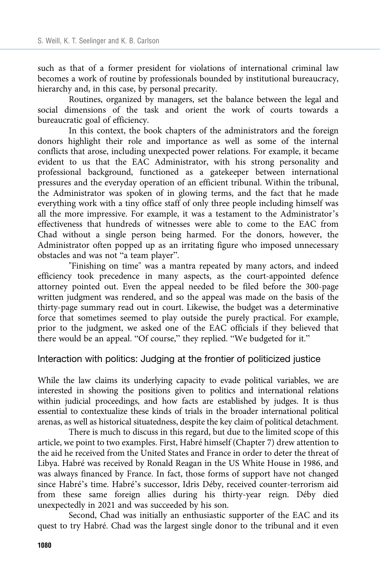such as that of a former president for violations of international criminal law becomes a work of routine by professionals bounded by institutional bureaucracy, hierarchy and, in this case, by personal precarity.

Routines, organized by managers, set the balance between the legal and social dimensions of the task and orient the work of courts towards a bureaucratic goal of efficiency.

In this context, the book chapters of the administrators and the foreign donors highlight their role and importance as well as some of the internal conflicts that arose, including unexpected power relations. For example, it became evident to us that the EAC Administrator, with his strong personality and professional background, functioned as a gatekeeper between international pressures and the everyday operation of an efficient tribunal. Within the tribunal, the Administrator was spoken of in glowing terms, and the fact that he made everything work with a tiny office staff of only three people including himself was all the more impressive. For example, it was a testament to the Administrator's effectiveness that hundreds of witnesses were able to come to the EAC from Chad without a single person being harmed. For the donors, however, the Administrator often popped up as an irritating figure who imposed unnecessary obstacles and was not "a team player".

"Finishing on time" was a mantra repeated by many actors, and indeed efficiency took precedence in many aspects, as the court-appointed defence attorney pointed out. Even the appeal needed to be filed before the 300-page written judgment was rendered, and so the appeal was made on the basis of the thirty-page summary read out in court. Likewise, the budget was a determinative force that sometimes seemed to play outside the purely practical. For example, prior to the judgment, we asked one of the EAC officials if they believed that there would be an appeal. "Of course," they replied. "We budgeted for it."

## Interaction with politics: Judging at the frontier of politicized justice

While the law claims its underlying capacity to evade political variables, we are interested in showing the positions given to politics and international relations within judicial proceedings, and how facts are established by judges. It is thus essential to contextualize these kinds of trials in the broader international political arenas, as well as historical situatedness, despite the key claim of political detachment.

There is much to discuss in this regard, but due to the limited scope of this article, we point to two examples. First, Habré himself (Chapter 7) drew attention to the aid he received from the United States and France in order to deter the threat of Libya. Habré was received by Ronald Reagan in the US White House in 1986, and was always financed by France. In fact, those forms of support have not changed since Habré's time. Habré's successor, Idris Déby, received counter-terrorism aid from these same foreign allies during his thirty-year reign. Déby died unexpectedly in 2021 and was succeeded by his son.

Second, Chad was initially an enthusiastic supporter of the EAC and its quest to try Habré. Chad was the largest single donor to the tribunal and it even